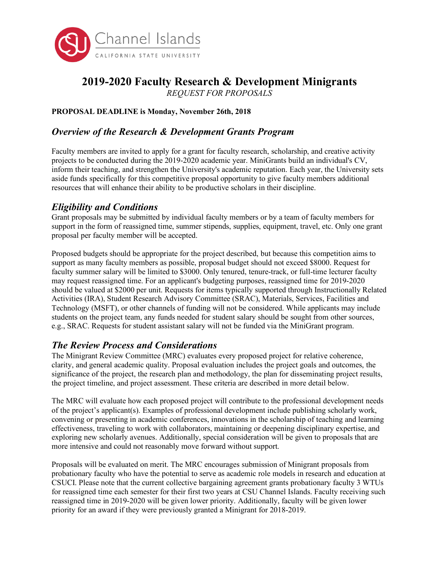

# **2019-2020 Faculty Research & Development Minigrants**

*REQUEST FOR PROPOSALS*

#### **PROPOSAL DEADLINE is Monday, November 26th, 2018**

# *Overview of the Research & Development Grants Program*

Faculty members are invited to apply for a grant for faculty research, scholarship, and creative activity projects to be conducted during the 2019-2020 academic year. MiniGrants build an individual's CV, inform their teaching, and strengthen the University's academic reputation. Each year, the University sets aside funds specifically for this competitive proposal opportunity to give faculty members additional resources that will enhance their ability to be productive scholars in their discipline.

# *Eligibility and Conditions*

Grant proposals may be submitted by individual faculty members or by a team of faculty members for support in the form of reassigned time, summer stipends, supplies, equipment, travel, etc. Only one grant proposal per faculty member will be accepted.

Proposed budgets should be appropriate for the project described, but because this competition aims to support as many faculty members as possible, proposal budget should not exceed \$8000. Request for faculty summer salary will be limited to \$3000. Only tenured, tenure-track, or full-time lecturer faculty may request reassigned time. For an applicant's budgeting purposes, reassigned time for 2019-2020 should be valued at \$2000 per unit. Requests for items typically supported through Instructionally Related Activities (IRA), Student Research Advisory Committee (SRAC), Materials, Services, Facilities and Technology (MSFT), or other channels of funding will not be considered. While applicants may include students on the project team, any funds needed for student salary should be sought from other sources, e.g., SRAC. Requests for student assistant salary will not be funded via the MiniGrant program.

# *The Review Process and Considerations*

The Minigrant Review Committee (MRC) evaluates every proposed project for relative coherence, clarity, and general academic quality. Proposal evaluation includes the project goals and outcomes, the significance of the project, the research plan and methodology, the plan for disseminating project results, the project timeline, and project assessment. These criteria are described in more detail below.

The MRC will evaluate how each proposed project will contribute to the professional development needs of the project's applicant(s). Examples of professional development include publishing scholarly work, convening or presenting in academic conferences, innovations in the scholarship of teaching and learning effectiveness, traveling to work with collaborators, maintaining or deepening disciplinary expertise, and exploring new scholarly avenues. Additionally, special consideration will be given to proposals that are more intensive and could not reasonably move forward without support.

Proposals will be evaluated on merit. The MRC encourages submission of Minigrant proposals from probationary faculty who have the potential to serve as academic role models in research and education at CSUCI. Please note that the current collective bargaining agreement grants probationary faculty 3 WTUs for reassigned time each semester for their first two years at CSU Channel Islands. Faculty receiving such reassigned time in 2019-2020 will be given lower priority. Additionally, faculty will be given lower priority for an award if they were previously granted a Minigrant for 2018-2019.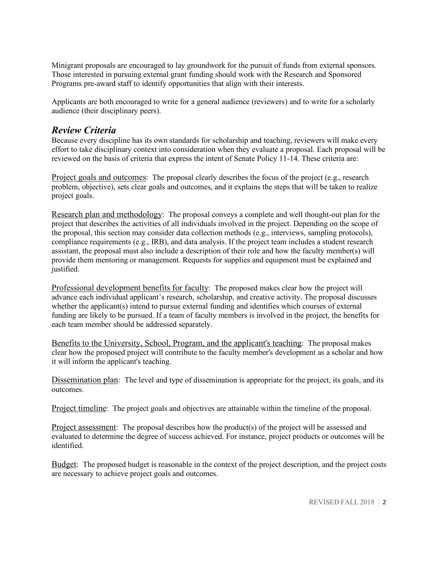Minigrant proposals are encouraged to lay groundwork for the pursuit of funds from external sponsors. Those interested in pursuing external grant funding should work with the Research and Sponsored Programs pre-award staff to identify opportunities that align with their interests.

Applicants are both encouraged to write for a general audience (reviewers) and to write for a scholarly audience (their disciplinary peers).

### *Review Criteria*

Because every discipline has its own standards for scholarship and teaching, reviewers will make every effort to take disciplinary context into consideration when they evaluate a proposal. Each proposal will be reviewed on the basis of criteria that express the intent of Senate Policy 11-14. These criteria are:

Project goals and outcomes: The proposal clearly describes the focus of the project (e.g., research problem, objective), sets clear goals and outcomes, and it explains the steps that will be taken to realize project goals.

Research plan and methodology: The proposal conveys a complete and well thought-out plan for the project that describes the activities of all individuals involved in the project. Depending on the scope of the proposal, this section may consider data collection methods (e.g., interviews, sampling protocols), compliance requirements (e.g., IRB), and data analysis. If the project team includes a student research assistant, the proposal must also include a description of their role and how the faculty member(s) will provide them mentoring or management. Requests for supplies and equipment must be explained and justified.

Professional development benefits for faculty: The proposed makes clear how the project will advance each individual applicant's research, scholarship, and creative activity. The proposal discusses whether the applicant(s) intend to pursue external funding and identifies which courses of external funding are likely to be pursued. If a team of faculty members is involved in the project, the benefits for each team member should be addressed separately.

Benefits to the University, School, Program, and the applicant's teaching: The proposal makes clear how the proposed project will contribute to the faculty member's development as a scholar and how it will inform the applicant's teaching.

Dissemination plan: The level and type of dissemination is appropriate for the project, its goals, and its outcomes.

Project timeline: The project goals and objectives are attainable within the timeline of the proposal.

Project assessment: The proposal describes how the product(s) of the project will be assessed and evaluated to determine the degree of success achieved. For instance, project products or outcomes will be identified.

Budget: The proposed budget is reasonable in the context of the project description, and the project costs are necessary to achieve project goals and outcomes.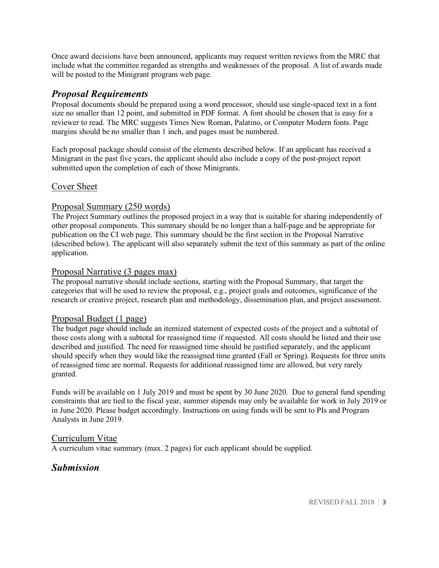Once award decisions have been announced, applicants may request written reviews from the MRC that include what the committee regarded as strengths and weaknesses of the proposal. A list of awards made will be posted to the Minigrant program web page.

#### *Proposal Requirements*

Proposal documents should be prepared using a word processor, should use single-spaced text in a font size no smaller than 12 point, and submitted in PDF format. A font should be chosen that is easy for a reviewer to read. The MRC suggests Times New Roman, Palatino, or Computer Modern fonts. Page margins should be no smaller than 1 inch, and pages must be numbered.

Each proposal package should consist of the elements described below. If an applicant has received a Minigrant in the past five years, the applicant should also include a copy of the post-project report submitted upon the completion of each of those Minigrants.

#### Cover Sheet

#### Proposal Summary (250 words)

The Project Summary outlines the proposed project in a way that is suitable for sharing independently of other proposal components. This summary should be no longer than a half-page and be appropriate for publication on the CI web page. This summary should be the first section in the Proposal Narrative (described below). The applicant will also separately submit the text of this summary as part of the online application.

#### Proposal Narrative (3 pages max)

The proposal narrative should include sections, starting with the Proposal Summary, that target the categories that will be used to review the proposal, e.g., project goals and outcomes, significance of the research or creative project, research plan and methodology, dissemination plan, and project assessment.

#### Proposal Budget (1 page)

The budget page should include an itemized statement of expected costs of the project and a subtotal of those costs along with a subtotal for reassigned time if requested. All costs should be listed and their use described and justified. The need for reassigned time should be justified separately, and the applicant should specify when they would like the reassigned time granted (Fall or Spring). Requests for three units of reassigned time are normal. Requests for additional reassigned time are allowed, but very rarely granted.

Funds will be available on 1 July 2019 and must be spent by 30 June 2020. Due to general fund spending constraints that are tied to the fiscal year, summer stipends may only be available for work in July 2019 or in June 2020. Please budget accordingly. Instructions on using funds will be sent to PIs and Program Analysts in June 2019.

#### Curriculum Vitae

A curriculum vitae summary (max. 2 pages) for each applicant should be supplied.

# *Submission*